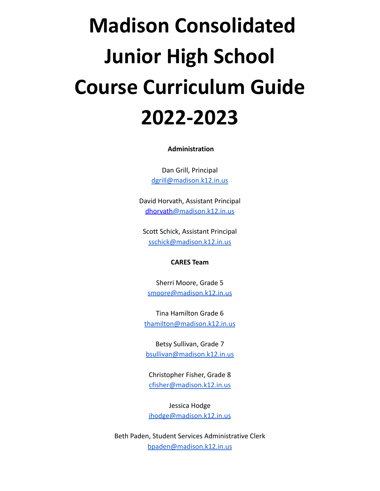# **Madison Consolidated Junior High School Course Curriculum Guide 2022-2023**

**Administration**

Dan Grill, Principal [dgrill@madison.k12.in.us](mailto:dgrill@madison.k12.in.us)

David Horvath, Assistant Principal dhorvath[@madison.k12.in.us](mailto:dhorvath@madison.k12.in.us)

Scott Schick, Assistant Principal [sschick@madison.k12.in.us](mailto:sschick@madison.k12.in.us)

#### **CARES Team**

Sherri Moore, Grade 5 [smoore@madison.k12.in.us](mailto:smoore@madison.k12.in.us)

Tina Hamilton Grade 6 [thamilton@madison.k12.in.us](mailto:thamilton@madison.k12.in.us)

Betsy Sullivan, Grade 7 [bsullivan@madison.k12.in.us](mailto:bsullivan@madison.k12.in.us)

Christopher Fisher, Grade 8 [cfisher@madison.k12.in.us](mailto:cfisher@madison.k12.in.us)

Jessica Hodge [jhodge@madison.k12.in.us](mailto:jhodge@madison.k12.in.us)

Beth Paden, Student Services Administrative Clerk [bpaden@madison.k12.in.us](mailto:bpaden@madison.k12.in.us)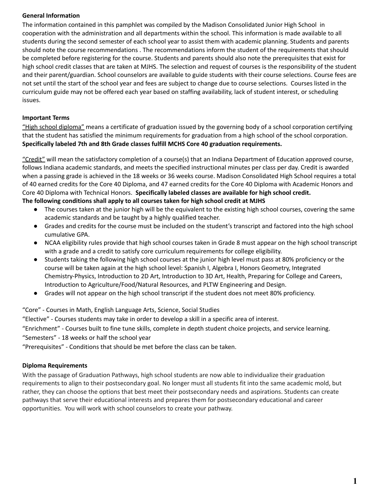#### **General Information**

The information contained in this pamphlet was compiled by the Madison Consolidated Junior High School in cooperation with the administration and all departments within the school. This information is made available to all students during the second semester of each school year to assist them with academic planning. Students and parents should note the course recommendations . The recommendations inform the student of the requirements that should be completed before registering for the course. Students and parents should also note the prerequisites that exist for high school credit classes that are taken at MJHS. The selection and request of courses is the responsibility of the student and their parent/guardian. School counselors are available to guide students with their course selections. Course fees are not set until the start of the school year and fees are subject to change due to course selections. Courses listed in the curriculum guide may not be offered each year based on staffing availability, lack of student interest, or scheduling issues.

#### **Important Terms**

"High school diploma" means a certificate of graduation issued by the governing body of a school corporation certifying that the student has satisfied the minimum requirements for graduation from a high school of the school corporation. **Specifically labeled 7th and 8th Grade classes fulfill MCHS Core 40 graduation requirements.**

"Credit" will mean the satisfactory completion of a course(s) that an Indiana Department of Education approved course, follows Indiana academic standards, and meets the specified instructional minutes per class per day. Credit is awarded when a passing grade is achieved in the 18 weeks or 36 weeks course. Madison Consolidated High School requires a total of 40 earned credits for the Core 40 Diploma, and 47 earned credits for the Core 40 Diploma with Academic Honors and Core 40 Diploma with Technical Honors. **Specifically labeled classes are available for high school credit. The following conditions shall apply to all courses taken for high school credit at MJHS**

- The courses taken at the junior high will be the equivalent to the existing high school courses, covering the same academic standards and be taught by a highly qualified teacher.
- Grades and credits for the course must be included on the student's transcript and factored into the high school cumulative GPA.
- NCAA eligibility rules provide that high school courses taken in Grade 8 must appear on the high school transcript with a grade and a credit to satisfy core curriculum requirements for college eligibility.
- Students taking the following high school courses at the junior high level must pass at 80% proficiency or the course will be taken again at the high school level: Spanish I, Algebra I, Honors Geometry, Integrated Chemistry-Physics, Introduction to 2D Art, Introduction to 3D Art, Health, Preparing for College and Careers, Introduction to Agriculture/Food/Natural Resources, and PLTW Engineering and Design.
- Grades will not appear on the high school transcript if the student does not meet 80% proficiency.

"Core" - Courses in Math, English Language Arts, Science, Social Studies

"Elective" - Courses students may take in order to develop a skill in a specific area of interest.

"Enrichment" - Courses built to fine tune skills, complete in depth student choice projects, and service learning.

"Semesters" - 18 weeks or half the school year

"Prerequisites" - Conditions that should be met before the class can be taken.

#### **Diploma Requirements**

With the passage of Graduation Pathways, high school students are now able to individualize their graduation requirements to align to their postsecondary goal. No longer must all students fit into the same academic mold, but rather, they can choose the options that best meet their postsecondary needs and aspirations. Students can create pathways that serve their educational interests and prepares them for postsecondary educational and career opportunities. You will work with school counselors to create your pathway.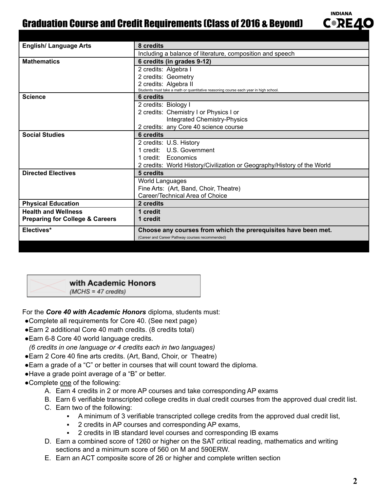## Graduation Course and Credit Requirements (Class of 2016 & Beyond)

| <b>English/ Language Arts</b>              | 8 credits                                                                            |
|--------------------------------------------|--------------------------------------------------------------------------------------|
|                                            | Including a balance of literature, composition and speech                            |
| <b>Mathematics</b>                         | 6 credits (in grades 9-12)                                                           |
|                                            | 2 credits: Algebra I                                                                 |
|                                            | 2 credits: Geometry                                                                  |
|                                            | 2 credits: Algebra II                                                                |
|                                            | Students must take a math or quantitative reasoning course each year in high school. |
| <b>Science</b>                             | 6 credits                                                                            |
|                                            | 2 credits: Biology I                                                                 |
|                                            | 2 credits: Chemistry I or Physics I or                                               |
|                                            | <b>Integrated Chemistry-Physics</b>                                                  |
|                                            | 2 credits: any Core 40 science course                                                |
| <b>Social Studies</b>                      | 6 credits                                                                            |
|                                            | 2 credits: U.S. History                                                              |
|                                            | 1 credit: U.S. Government                                                            |
|                                            | 1 credit: Economics                                                                  |
|                                            | 2 credits: World History/Civilization or Geography/History of the World              |
| <b>Directed Electives</b>                  | 5 credits                                                                            |
|                                            | World Languages                                                                      |
|                                            | Fine Arts: (Art, Band, Choir, Theatre)                                               |
|                                            | Career/Technical Area of Choice                                                      |
| <b>Physical Education</b>                  | 2 credits                                                                            |
| <b>Health and Wellness</b>                 | 1 credit                                                                             |
| <b>Preparing for College &amp; Careers</b> | 1 credit                                                                             |
| Electives*                                 | Choose any courses from which the prerequisites have been met.                       |
|                                            | (Career and Career Pathway courses recommended)                                      |



 $(MCHS = 47 \text{ credits})$ 

For the *Core 40 with Academic Honors* diploma, students must:

- ●Complete all requirements for Core 40. (See next page)
- ●Earn 2 additional Core 40 math credits. (8 credits total)
- Earn 6-8 Core 40 world language credits.
- *(6 credits in one language or 4 credits each in two languages)*
- Earn 2 Core 40 fine arts credits. (Art, Band, Choir, or Theatre)
- ●Earn a grade of a "C" or better in courses that will count toward the diploma.
- ●Have a grade point average of a "B" or better.
- ●Complete one of the following:
	- A. Earn 4 credits in 2 or more AP courses and take corresponding AP exams
	- B. Earn 6 verifiable transcripted college credits in dual credit courses from the approved dual credit list.
	- C. Earn two of the following:
		- A minimum of 3 verifiable transcripted college credits from the approved dual credit list,
		- 2 credits in AP courses and corresponding AP exams,
		- 2 credits in IB standard level courses and corresponding IB exams
	- D. Earn a combined score of 1260 or higher on the SAT critical reading, mathematics and writing sections and a minimum score of 560 on M and 590ERW.
	- E. Earn an ACT composite score of 26 or higher and complete written section

**INDIANA C**•RE4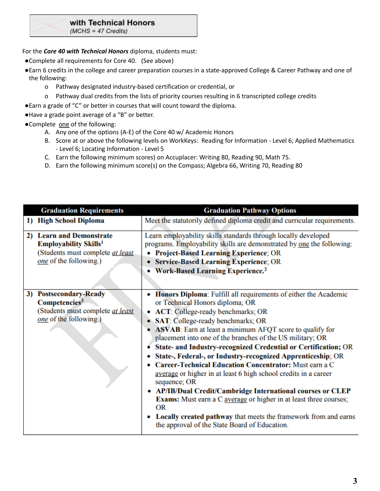#### with Technical Honors

 $(MCHS = 47$  Credits)

For the *Core 40 with Technical Honors* diploma, students must:

- ●Complete all requirements for Core 40. (See above)
- ●Earn 6 credits in the college and career preparation courses in a state-approved College & Career Pathway and one of the following:
	- o Pathway designated industry-based certification or credential, or
	- o Pathway dual credits from the lists of priority courses resulting in 6 transcripted college credits
- ●Earn a grade of "C" or better in courses that will count toward the diploma.
- ●Have a grade point average of a "B" or better.
- ●Complete one of the following:
	- A. Any one of the options (A-E) of the Core 40 w/ Academic Honors
	- B. Score at or above the following levels on WorkKeys: Reading for Information Level 6; Applied Mathematics - Level 6; Locating Information - Level 5
	- C. Earn the following minimum scores) on Accuplacer: Writing 80, Reading 90, Math 75.
	- D. Earn the following minimum score(s) on the Compass; Algebra 66, Writing 70, Reading 80

|    | <b>Graduation Requirements</b>                                                                                                        | <b>Graduation Pathway Options</b>                                                                                                                                                                                                                                                                                                                                                                                                                                                                                                                                                                                                                                                                                                                                                                                                                                                       |
|----|---------------------------------------------------------------------------------------------------------------------------------------|-----------------------------------------------------------------------------------------------------------------------------------------------------------------------------------------------------------------------------------------------------------------------------------------------------------------------------------------------------------------------------------------------------------------------------------------------------------------------------------------------------------------------------------------------------------------------------------------------------------------------------------------------------------------------------------------------------------------------------------------------------------------------------------------------------------------------------------------------------------------------------------------|
|    | 1) High School Diploma                                                                                                                | Meet the statutorily defined diploma credit and curricular requirements.                                                                                                                                                                                                                                                                                                                                                                                                                                                                                                                                                                                                                                                                                                                                                                                                                |
| 2) | <b>Learn and Demonstrate</b><br><b>Employability Skills<sup>1</sup></b><br>(Students must complete at least<br>one of the following.) | Learn employability skills standards through locally developed<br>programs. Employability skills are demonstrated by one the following:<br><b>Project-Based Learning Experience; OR</b><br>• Service-Based Learning Experience; OR<br>• Work-Based Learning Experience. <sup>2</sup>                                                                                                                                                                                                                                                                                                                                                                                                                                                                                                                                                                                                    |
| 3) | <b>Postsecondary-Ready</b><br>Competencies <sup>3</sup><br>(Students must complete at least<br>one of the following.)                 | Honors Diploma: Fulfill all requirements of either the Academic<br>or Technical Honors diploma; OR<br>• ACT: College-ready benchmarks; OR<br>SAT: College-ready benchmarks; OR<br><b>ASVAB</b> : Earn at least a minimum AFQT score to qualify for<br>placement into one of the branches of the US military; OR<br>• State- and Industry-recognized Credential or Certification; OR<br>State-, Federal-, or Industry-recognized Apprenticeship; OR<br><b>Career-Technical Education Concentrator: Must earn a C</b><br>average or higher in at least 6 high school credits in a career<br>sequence; OR<br>• AP/IB/Dual Credit/Cambridge International courses or CLEP<br><b>Exams:</b> Must earn a C average or higher in at least three courses;<br>OR<br><b>Locally created pathway</b> that meets the framework from and earns<br>۰<br>the approval of the State Board of Education. |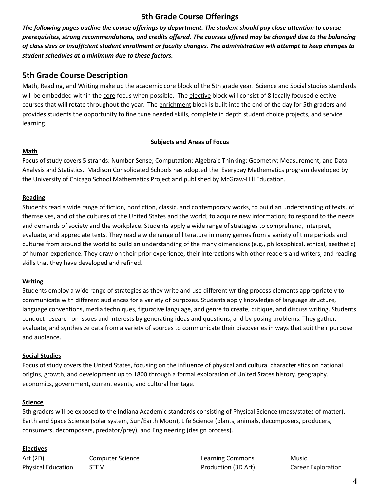## **5th Grade Course Offerings**

The following pages outline the course offerings by department. The student should pay close attention to course prerequisites, strong recommendations, and credits offered. The courses offered may be changed due to the balancing of class sizes or insufficient student enrollment or faculty changes. The administration will attempt to keep changes to *student schedules at a minimum due to these factors.*

## **5th Grade Course Description**

Math, Reading, and Writing make up the academic core block of the 5th grade year. Science and Social studies standards will be embedded within the core focus when possible. The elective block will consist of 8 locally focused elective courses that will rotate throughout the year. The enrichment block is built into the end of the day for 5th graders and provides students the opportunity to fine tune needed skills, complete in depth student choice projects, and service learning.

#### **Subjects and Areas of Focus**

#### **Math**

Focus of study covers 5 strands: Number Sense; Computation; Algebraic Thinking; Geometry; Measurement; and Data Analysis and Statistics. Madison Consolidated Schools has adopted the Everyday Mathematics program developed by the University of Chicago School Mathematics Project and published by McGraw-Hill Education.

#### **Reading**

Students read a wide range of fiction, nonfiction, classic, and contemporary works, to build an understanding of texts, of themselves, and of the cultures of the United States and the world; to acquire new information; to respond to the needs and demands of society and the workplace. Students apply a wide range of strategies to comprehend, interpret, evaluate, and appreciate texts. They read a wide range of literature in many genres from a variety of time periods and cultures from around the world to build an understanding of the many dimensions (e.g., philosophical, ethical, aesthetic) of human experience. They draw on their prior experience, their interactions with other readers and writers, and reading skills that they have developed and refined.

#### **Writing**

Students employ a wide range of strategies as they write and use different writing process elements appropriately to communicate with different audiences for a variety of purposes. Students apply knowledge of language structure, language conventions, media techniques, figurative language, and genre to create, critique, and discuss writing. Students conduct research on issues and interests by generating ideas and questions, and by posing problems. They gather, evaluate, and synthesize data from a variety of sources to communicate their discoveries in ways that suit their purpose and audience.

#### **Social Studies**

Focus of study covers the United States, focusing on the influence of physical and cultural characteristics on national origins, growth, and development up to 1800 through a formal exploration of United States history, geography, economics, government, current events, and cultural heritage.

#### **Science**

5th graders will be exposed to the Indiana Academic standards consisting of Physical Science (mass/states of matter), Earth and Space Science (solar system, Sun/Earth Moon), Life Science (plants, animals, decomposers, producers, consumers, decomposers, predator/prey), and Engineering (design process).

#### **Electives**

Art (2D) Computer Science Learning Commons Music Physical Education STEM **STEM Production (3D Art)** Career Exploration (3D Art)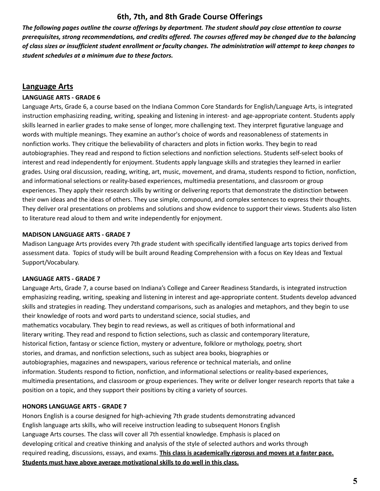## **6th, 7th, and 8th Grade Course Offerings**

The following pages outline the course offerings by department. The student should pay close attention to course prerequisites, strong recommendations, and credits offered. The courses offered may be changed due to the balancing of class sizes or insufficient student enrollment or faculty changes. The administration will attempt to keep changes to *student schedules at a minimum due to these factors.*

## **Language Arts**

#### **LANGUAGE ARTS - GRADE 6**

Language Arts, Grade 6, a course based on the Indiana Common Core Standards for English/Language Arts, is integrated instruction emphasizing reading, writing, speaking and listening in interest- and age-appropriate content. Students apply skills learned in earlier grades to make sense of longer, more challenging text. They interpret figurative language and words with multiple meanings. They examine an author's choice of words and reasonableness of statements in nonfiction works. They critique the believability of characters and plots in fiction works. They begin to read autobiographies. They read and respond to fiction selections and nonfiction selections. Students self-select books of interest and read independently for enjoyment. Students apply language skills and strategies they learned in earlier grades. Using oral discussion, reading, writing, art, music, movement, and drama, students respond to fiction, nonfiction, and informational selections or reality-based experiences, multimedia presentations, and classroom or group experiences. They apply their research skills by writing or delivering reports that demonstrate the distinction between their own ideas and the ideas of others. They use simple, compound, and complex sentences to express their thoughts. They deliver oral presentations on problems and solutions and show evidence to support their views. Students also listen to literature read aloud to them and write independently for enjoyment.

#### **MADISON LANGUAGE ARTS - GRADE 7**

Madison Language Arts provides every 7th grade student with specifically identified language arts topics derived from assessment data. Topics of study will be built around Reading Comprehension with a focus on Key Ideas and Textual Support/Vocabulary.

#### **LANGUAGE ARTS - GRADE 7**

Language Arts, Grade 7, a course based on Indiana's College and Career Readiness Standards, is integrated instruction emphasizing reading, writing, speaking and listening in interest and age-appropriate content. Students develop advanced skills and strategies in reading. They understand comparisons, such as analogies and metaphors, and they begin to use their knowledge of roots and word parts to understand science, social studies, and mathematics vocabulary. They begin to read reviews, as well as critiques of both informational and literary writing. They read and respond to fiction selections, such as classic and contemporary literature, historical fiction, fantasy or science fiction, mystery or adventure, folklore or mythology, poetry, short stories, and dramas, and nonfiction selections, such as subject area books, biographies or autobiographies, magazines and newspapers, various reference or technical materials, and online information. Students respond to fiction, nonfiction, and informational selections or reality-based experiences, multimedia presentations, and classroom or group experiences. They write or deliver longer research reports that take a position on a topic, and they support their positions by citing a variety of sources.

#### **HONORS LANGUAGE ARTS - GRADE 7**

Honors English is a course designed for high-achieving 7th grade students demonstrating advanced English language arts skills, who will receive instruction leading to subsequent Honors English Language Arts courses. The class will cover all 7th essential knowledge. Emphasis is placed on developing critical and creative thinking and analysis of the style of selected authors and works through required reading, discussions, essays, and exams. **This class is academically rigorous and moves at a faster pace. Students must have above average motivational skills to do well in this class.**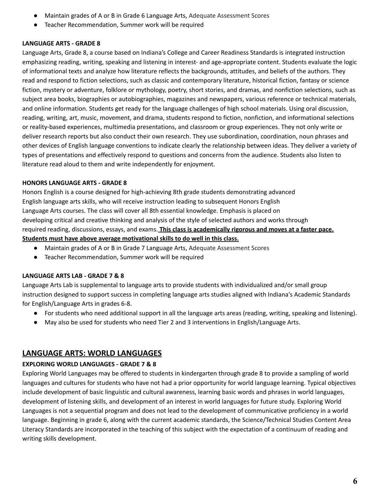- Maintain grades of A or B in Grade 6 Language Arts, Adequate Assessment Scores
- Teacher Recommendation, Summer work will be required

#### **LANGUAGE ARTS - GRADE 8**

Language Arts, Grade 8, a course based on Indiana's College and Career Readiness Standards is integrated instruction emphasizing reading, writing, speaking and listening in interest- and age-appropriate content. Students evaluate the logic of informational texts and analyze how literature reflects the backgrounds, attitudes, and beliefs of the authors. They read and respond to fiction selections, such as classic and contemporary literature, historical fiction, fantasy or science fiction, mystery or adventure, folklore or mythology, poetry, short stories, and dramas, and nonfiction selections, such as subject area books, biographies or autobiographies, magazines and newspapers, various reference or technical materials, and online information. Students get ready for the language challenges of high school materials. Using oral discussion, reading, writing, art, music, movement, and drama, students respond to fiction, nonfiction, and informational selections or reality-based experiences, multimedia presentations, and classroom or group experiences. They not only write or deliver research reports but also conduct their own research. They use subordination, coordination, noun phrases and other devices of English language conventions to indicate clearly the relationship between ideas. They deliver a variety of types of presentations and effectively respond to questions and concerns from the audience. Students also listen to literature read aloud to them and write independently for enjoyment.

#### **HONORS LANGUAGE ARTS - GRADE 8**

Honors English is a course designed for high-achieving 8th grade students demonstrating advanced English language arts skills, who will receive instruction leading to subsequent Honors English Language Arts courses. The class will cover all 8th essential knowledge. Emphasis is placed on developing critical and creative thinking and analysis of the style of selected authors and works through required reading, discussions, essays, and exams. **This class is academically rigorous and moves at a faster pace. Students must have above average motivational skills to do well in this class.**

- Maintain grades of A or B in Grade 7 Language Arts, Adequate Assessment Scores
- Teacher Recommendation, Summer work will be required

#### **LANGUAGE ARTS LAB - GRADE 7 & 8**

Language Arts Lab is supplemental to language arts to provide students with individualized and/or small group instruction designed to support success in completing language arts studies aligned with Indiana's Academic Standards for English/Language Arts in grades 6-8.

- For students who need additional support in all the language arts areas (reading, writing, speaking and listening).
- May also be used for students who need Tier 2 and 3 interventions in English/Language Arts.

## **LANGUAGE ARTS: WORLD LANGUAGES**

## **EXPLORING WORLD LANGUAGES - GRADE 7 & 8**

Exploring World Languages may be offered to students in kindergarten through grade 8 to provide a sampling of world languages and cultures for students who have not had a prior opportunity for world language learning. Typical objectives include development of basic linguistic and cultural awareness, learning basic words and phrases in world languages, development of listening skills, and development of an interest in world languages for future study. Exploring World Languages is not a sequential program and does not lead to the development of communicative proficiency in a world language. Beginning in grade 6, along with the current academic standards, the Science/Technical Studies Content Area Literacy Standards are incorporated in the teaching of this subject with the expectation of a continuum of reading and writing skills development.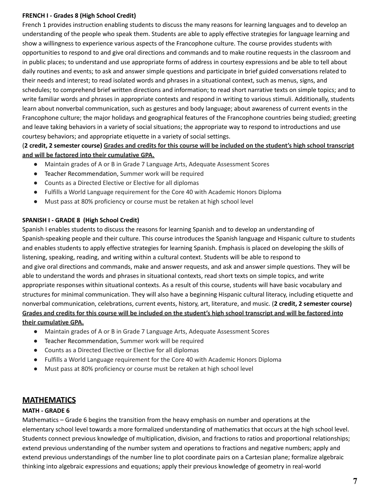#### **FRENCH I - Grades 8 (High School Credit)**

French 1 provides instruction enabling students to discuss the many reasons for learning languages and to develop an understanding of the people who speak them. Students are able to apply effective strategies for language learning and show a willingness to experience various aspects of the Francophone culture. The course provides students with opportunities to respond to and give oral directions and commands and to make routine requests in the classroom and in public places; to understand and use appropriate forms of address in courtesy expressions and be able to tell about daily routines and events; to ask and answer simple questions and participate in brief guided conversations related to their needs and interest; to read isolated words and phrases in a situational context, such as menus, signs, and schedules; to comprehend brief written directions and information; to read short narrative texts on simple topics; and to write familiar words and phrases in appropriate contexts and respond in writing to various stimuli. Additionally, students learn about nonverbal communication, such as gestures and body language; about awareness of current events in the Francophone culture; the major holidays and geographical features of the Francophone countries being studied; greeting and leave taking behaviors in a variety of social situations; the appropriate way to respond to introductions and use courtesy behaviors; and appropriate etiquette in a variety of social settings.

#### (2 credit, 2 semester course) Grades and credits for this course will be included on the student's high school transcript **and will be factored into their cumulative GPA.**

- Maintain grades of A or B in Grade 7 Language Arts, Adequate Assessment Scores
- Teacher Recommendation, Summer work will be required
- Counts as a Directed Elective or Elective for all diplomas
- Fulfills a World Language requirement for the Core 40 with Academic Honors Diploma
- Must pass at 80% proficiency or course must be retaken at high school level

#### **SPANISH I - GRADE 8 (High School Credit)**

Spanish I enables students to discuss the reasons for learning Spanish and to develop an understanding of Spanish-speaking people and their culture. This course introduces the Spanish language and Hispanic culture to students and enables students to apply effective strategies for learning Spanish. Emphasis is placed on developing the skills of listening, speaking, reading, and writing within a cultural context. Students will be able to respond to and give oral directions and commands, make and answer requests, and ask and answer simple questions. They will be able to understand the words and phrases in situational contexts, read short texts on simple topics, and write appropriate responses within situational contexts. As a result of this course, students will have basic vocabulary and structures for minimal communication. They will also have a beginning Hispanic cultural literacy, including etiquette and nonverbal communication, celebrations, current events, history, art, literature, and music. (**2 credit, 2 semester course)** Grades and credits for this course will be included on the student's high school transcript and will be factored into **their cumulative GPA.**

- Maintain grades of A or B in Grade 7 Language Arts, Adequate Assessment Scores
- Teacher Recommendation, Summer work will be required
- Counts as a Directed Elective or Elective for all diplomas
- Fulfills a World Language requirement for the Core 40 with Academic Honors Diploma
- Must pass at 80% proficiency or course must be retaken at high school level

## **MATHEMATICS**

#### **MATH - GRADE 6**

Mathematics – Grade 6 begins the transition from the heavy emphasis on number and operations at the elementary school level towards a more formalized understanding of mathematics that occurs at the high school level. Students connect previous knowledge of multiplication, division, and fractions to ratios and proportional relationships; extend previous understanding of the number system and operations to fractions and negative numbers; apply and extend previous understandings of the number line to plot coordinate pairs on a Cartesian plane; formalize algebraic thinking into algebraic expressions and equations; apply their previous knowledge of geometry in real-world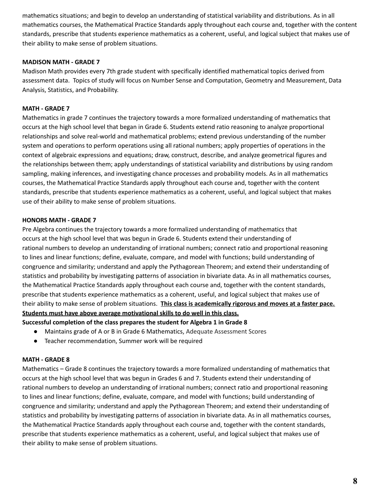mathematics situations; and begin to develop an understanding of statistical variability and distributions. As in all mathematics courses, the Mathematical Practice Standards apply throughout each course and, together with the content standards, prescribe that students experience mathematics as a coherent, useful, and logical subject that makes use of their ability to make sense of problem situations.

#### **MADISON MATH - GRADE 7**

Madison Math provides every 7th grade student with specifically identified mathematical topics derived from assessment data. Topics of study will focus on Number Sense and Computation, Geometry and Measurement, Data Analysis, Statistics, and Probability.

#### **MATH - GRADE 7**

Mathematics in grade 7 continues the trajectory towards a more formalized understanding of mathematics that occurs at the high school level that began in Grade 6. Students extend ratio reasoning to analyze proportional relationships and solve real-world and mathematical problems; extend previous understanding of the number system and operations to perform operations using all rational numbers; apply properties of operations in the context of algebraic expressions and equations; draw, construct, describe, and analyze geometrical figures and the relationships between them; apply understandings of statistical variability and distributions by using random sampling, making inferences, and investigating chance processes and probability models. As in all mathematics courses, the Mathematical Practice Standards apply throughout each course and, together with the content standards, prescribe that students experience mathematics as a coherent, useful, and logical subject that makes use of their ability to make sense of problem situations.

#### **HONORS MATH - GRADE 7**

Pre Algebra continues the trajectory towards a more formalized understanding of mathematics that occurs at the high school level that was begun in Grade 6. Students extend their understanding of rational numbers to develop an understanding of irrational numbers; connect ratio and proportional reasoning to lines and linear functions; define, evaluate, compare, and model with functions; build understanding of congruence and similarity; understand and apply the Pythagorean Theorem; and extend their understanding of statistics and probability by investigating patterns of association in bivariate data. As in all mathematics courses, the Mathematical Practice Standards apply throughout each course and, together with the content standards, prescribe that students experience mathematics as a coherent, useful, and logical subject that makes use of their ability to make sense of problem situations. **This class is academically rigorous and moves at a faster pace. Students must have above average motivational skills to do well in this class.**

**Successful completion of the class prepares the student for Algebra 1 in Grade 8**

- Maintains grade of A or B in Grade 6 Mathematics, Adequate Assessment Scores
- Teacher recommendation, Summer work will be required

#### **MATH - GRADE 8**

Mathematics – Grade 8 continues the trajectory towards a more formalized understanding of mathematics that occurs at the high school level that was begun in Grades 6 and 7. Students extend their understanding of rational numbers to develop an understanding of irrational numbers; connect ratio and proportional reasoning to lines and linear functions; define, evaluate, compare, and model with functions; build understanding of congruence and similarity; understand and apply the Pythagorean Theorem; and extend their understanding of statistics and probability by investigating patterns of association in bivariate data. As in all mathematics courses, the Mathematical Practice Standards apply throughout each course and, together with the content standards, prescribe that students experience mathematics as a coherent, useful, and logical subject that makes use of their ability to make sense of problem situations.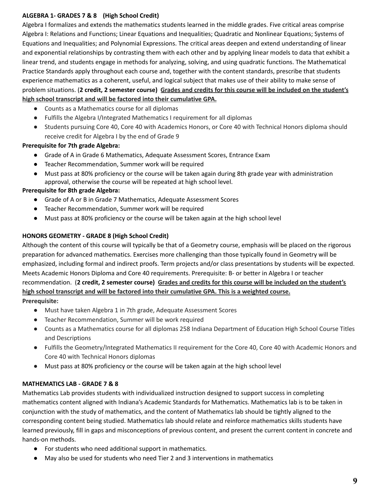#### **ALGEBRA 1- GRADES 7 & 8 (High School Credit)**

Algebra I formalizes and extends the mathematics students learned in the middle grades. Five critical areas comprise Algebra I: Relations and Functions; Linear Equations and Inequalities; Quadratic and Nonlinear Equations; Systems of Equations and Inequalities; and Polynomial Expressions. The critical areas deepen and extend understanding of linear and exponential relationships by contrasting them with each other and by applying linear models to data that exhibit a linear trend, and students engage in methods for analyzing, solving, and using quadratic functions. The Mathematical Practice Standards apply throughout each course and, together with the content standards, prescribe that students experience mathematics as a coherent, useful, and logical subject that makes use of their ability to make sense of problem situations. (2 credit, 2 semester course) Grades and credits for this course will be included on the student's **high school transcript and will be factored into their cumulative GPA.**

- Counts as a Mathematics course for all diplomas
- Fulfills the Algebra I/Integrated Mathematics I requirement for all diplomas
- Students pursuing Core 40, Core 40 with Academics Honors, or Core 40 with Technical Honors diploma should receive credit for Algebra I by the end of Grade 9

#### **Prerequisite for 7th grade Algebra:**

- Grade of A in Grade 6 Mathematics, Adequate Assessment Scores, Entrance Exam
- Teacher Recommendation, Summer work will be required
- Must pass at 80% proficiency or the course will be taken again during 8th grade year with administration approval, otherwise the course will be repeated at high school level.

#### **Prerequisite for 8th grade Algebra:**

- Grade of A or B in Grade 7 Mathematics, Adequate Assessment Scores
- Teacher Recommendation, Summer work will be required
- Must pass at 80% proficiency or the course will be taken again at the high school level

#### **HONORS GEOMETRY - GRADE 8 (High School Credit)**

Although the content of this course will typically be that of a Geometry course, emphasis will be placed on the rigorous preparation for advanced mathematics. Exercises more challenging than those typically found in Geometry will be emphasized, including formal and indirect proofs. Term projects and/or class presentations by students will be expected. Meets Academic Honors Diploma and Core 40 requirements. Prerequisite: B- or better in Algebra I or teacher recommendation. (2 credit, 2 semester course) Grades and credits for this course will be included on the student's **high school transcript and will be factored into their cumulative GPA. This is a weighted course. Prerequisite:**

- Must have taken Algebra 1 in 7th grade, Adequate Assessment Scores
- Teacher Recommendation, Summer will be work required
- Counts as a Mathematics course for all diplomas 258 Indiana Department of Education High School Course Titles and Descriptions
- Fulfills the Geometry/Integrated Mathematics II requirement for the Core 40, Core 40 with Academic Honors and Core 40 with Technical Honors diplomas
- Must pass at 80% proficiency or the course will be taken again at the high school level

### **MATHEMATICS LAB - GRADE 7 & 8**

Mathematics Lab provides students with individualized instruction designed to support success in completing mathematics content aligned with Indiana's Academic Standards for Mathematics. Mathematics lab is to be taken in conjunction with the study of mathematics, and the content of Mathematics lab should be tightly aligned to the corresponding content being studied. Mathematics lab should relate and reinforce mathematics skills students have learned previously, fill in gaps and misconceptions of previous content, and present the current content in concrete and hands-on methods.

- For students who need additional support in mathematics.
- May also be used for students who need Tier 2 and 3 interventions in mathematics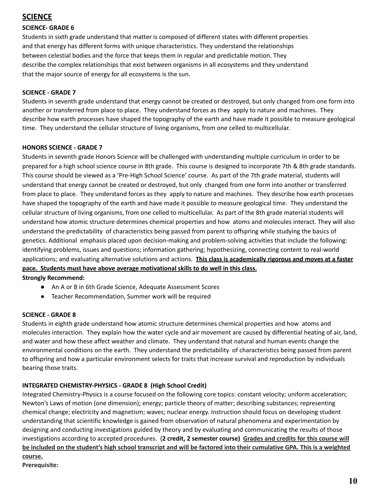## **SCIENCE**

### **SCIENCE- GRADE 6**

Students in sixth grade understand that matter is composed of different states with different properties and that energy has different forms with unique characteristics. They understand the relationships between celestial bodies and the force that keeps them in regular and predictable motion. They describe the complex relationships that exist between organisms in all ecosystems and they understand that the major source of energy for all ecosystems is the sun.

#### **SCIENCE - GRADE 7**

Students in seventh grade understand that energy cannot be created or destroyed, but only changed from one form into another or transferred from place to place. They understand forces as they apply to nature and machines. They describe how earth processes have shaped the topography of the earth and have made it possible to measure geological time. They understand the cellular structure of living organisms, from one celled to multicellular.

#### **HONORS SCIENCE - GRADE 7**

Students in seventh grade Honors Science will be challenged with understanding multiple curriculum in order to be prepared for a high school science course in 8th grade. This course is designed to incorporate 7th & 8th grade standards. This course should be viewed as a 'Pre-High School Science' course. As part of the 7th grade material, students will understand that energy cannot be created or destroyed, but only changed from one form into another or transferred from place to place. They understand forces as they apply to nature and machines. They describe how earth processes have shaped the topography of the earth and have made it possible to measure geological time. They understand the cellular structure of living organisms, from one celled to multicellular. As part of the 8th grade material students will understand how atomic structure determines chemical properties and how atoms and molecules interact. They will also understand the predictability of characteristics being passed from parent to offspring while studying the basics of genetics. Additional emphasis placed upon decision-making and problem-solving activities that include the following: identifying problems, issues and questions; information gathering; hypothesizing, connecting content to real-world applications; and evaluating alternative solutions and actions. **This class is academically rigorous and moves at a faster pace. Students must have above average motivational skills to do well in this class.**

#### **Strongly Recommend:**

- An A or B in 6th Grade Science, Adequate Assessment Scores
- Teacher Recommendation, Summer work will be required

#### **SCIENCE - GRADE 8**

Students in eighth grade understand how atomic structure determines chemical properties and how atoms and molecules interaction. They explain how the water cycle and air movement are caused by differential heating of air, land, and water and how these affect weather and climate. They understand that natural and human events change the environmental conditions on the earth. They understand the predictability of characteristics being passed from parent to offspring and how a particular environment selects for traits that increase survival and reproduction by individuals bearing those traits.

### **INTEGRATED CHEMISTRY-PHYSICS - GRADE 8 (High School Credit)**

Integrated Chemistry-Physics is a course focused on the following core topics: constant velocity; uniform acceleration; Newton's Laws of motion (one dimension); energy; particle theory of matter; describing substances; representing chemical change; electricity and magnetism; waves; nuclear energy. Instruction should focus on developing student understanding that scientific knowledge is gained from observation of natural phenomena and experimentation by designing and conducting investigations guided by theory and by evaluating and communicating the results of those investigations according to accepted procedures. (**2 credit, 2 semester course) Grades and credits for this course will** be included on the student's high school transcript and will be factored into their cumulative GPA. This is a weighted **course.**

**Prerequisite:**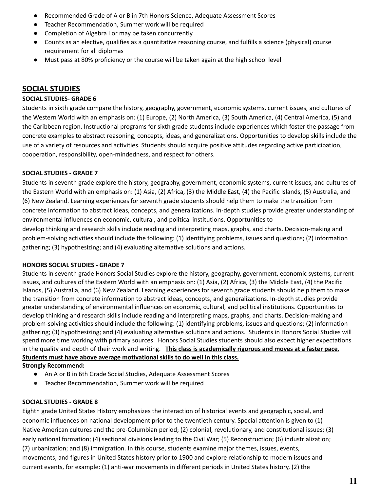- Recommended Grade of A or B in 7th Honors Science, Adequate Assessment Scores
- Teacher Recommendation, Summer work will be required
- Completion of Algebra I or may be taken concurrently
- Counts as an elective, qualifies as a quantitative reasoning course, and fulfills a science (physical) course requirement for all diplomas
- Must pass at 80% proficiency or the course will be taken again at the high school level

## **SOCIAL STUDIES**

#### **SOCIAL STUDIES- GRADE 6**

Students in sixth grade compare the history, geography, government, economic systems, current issues, and cultures of the Western World with an emphasis on: (1) Europe, (2) North America, (3) South America, (4) Central America, (5) and the Caribbean region. Instructional programs for sixth grade students include experiences which foster the passage from concrete examples to abstract reasoning, concepts, ideas, and generalizations. Opportunities to develop skills include the use of a variety of resources and activities. Students should acquire positive attitudes regarding active participation, cooperation, responsibility, open-mindedness, and respect for others.

#### **SOCIAL STUDIES - GRADE 7**

Students in seventh grade explore the history, geography, government, economic systems, current issues, and cultures of the Eastern World with an emphasis on: (1) Asia, (2) Africa, (3) the Middle East, (4) the Pacific Islands, (5) Australia, and (6) New Zealand. Learning experiences for seventh grade students should help them to make the transition from concrete information to abstract ideas, concepts, and generalizations. In-depth studies provide greater understanding of environmental influences on economic, cultural, and political institutions. Opportunities to develop thinking and research skills include reading and interpreting maps, graphs, and charts. Decision-making and problem-solving activities should include the following: (1) identifying problems, issues and questions; (2) information gathering; (3) hypothesizing; and (4) evaluating alternative solutions and actions.

#### **HONORS SOCIAL STUDIES - GRADE 7**

Students in seventh grade Honors Social Studies explore the history, geography, government, economic systems, current issues, and cultures of the Eastern World with an emphasis on: (1) Asia, (2) Africa, (3) the Middle East, (4) the Pacific Islands, (5) Australia, and (6) New Zealand. Learning experiences for seventh grade students should help them to make the transition from concrete information to abstract ideas, concepts, and generalizations. In-depth studies provide greater understanding of environmental influences on economic, cultural, and political institutions. Opportunities to develop thinking and research skills include reading and interpreting maps, graphs, and charts. Decision-making and problem-solving activities should include the following: (1) identifying problems, issues and questions; (2) information gathering; (3) hypothesizing; and (4) evaluating alternative solutions and actions. Students in Honors Social Studies will spend more time working with primary sources. Honors Social Studies students should also expect higher expectations in the quality and depth of their work and writing. **This class is academically rigorous and moves at a faster pace. Students must have above average motivational skills to do well in this class.**

#### **Strongly Recommend:**

- An A or B in 6th Grade Social Studies, Adequate Assessment Scores
- Teacher Recommendation, Summer work will be required

#### **SOCIAL STUDIES - GRADE 8**

Eighth grade United States History emphasizes the interaction of historical events and geographic, social, and economic influences on national development prior to the twentieth century. Special attention is given to (1) Native American cultures and the pre-Columbian period; (2) colonial, revolutionary, and constitutional issues; (3) early national formation; (4) sectional divisions leading to the Civil War; (5) Reconstruction; (6) industrialization; (7) urbanization; and (8) immigration. In this course, students examine major themes, issues, events, movements, and figures in United States history prior to 1900 and explore relationship to modern issues and current events, for example: (1) anti-war movements in different periods in United States history, (2) the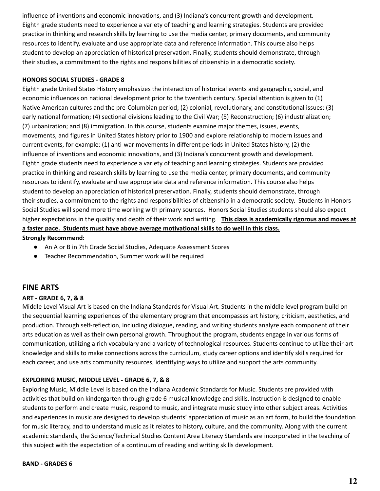influence of inventions and economic innovations, and (3) Indiana's concurrent growth and development. Eighth grade students need to experience a variety of teaching and learning strategies. Students are provided practice in thinking and research skills by learning to use the media center, primary documents, and community resources to identify, evaluate and use appropriate data and reference information. This course also helps student to develop an appreciation of historical preservation. Finally, students should demonstrate, through their studies, a commitment to the rights and responsibilities of citizenship in a democratic society.

#### **HONORS SOCIAL STUDIES - GRADE 8**

Eighth grade United States History emphasizes the interaction of historical events and geographic, social, and economic influences on national development prior to the twentieth century. Special attention is given to (1) Native American cultures and the pre-Columbian period; (2) colonial, revolutionary, and constitutional issues; (3) early national formation; (4) sectional divisions leading to the Civil War; (5) Reconstruction; (6) industrialization; (7) urbanization; and (8) immigration. In this course, students examine major themes, issues, events, movements, and figures in United States history prior to 1900 and explore relationship to modern issues and current events, for example: (1) anti-war movements in different periods in United States history, (2) the influence of inventions and economic innovations, and (3) Indiana's concurrent growth and development. Eighth grade students need to experience a variety of teaching and learning strategies. Students are provided practice in thinking and research skills by learning to use the media center, primary documents, and community resources to identify, evaluate and use appropriate data and reference information. This course also helps student to develop an appreciation of historical preservation. Finally, students should demonstrate, through their studies, a commitment to the rights and responsibilities of citizenship in a democratic society. Students in Honors Social Studies will spend more time working with primary sources. Honors Social Studies students should also expect higher expectations in the quality and depth of their work and writing. **This class is academically rigorous and moves at a faster pace. Students must have above average motivational skills to do well in this class. Strongly Recommend:**

- - An A or B in 7th Grade Social Studies, Adequate Assessment Scores
	- Teacher Recommendation, Summer work will be required

## **FINE ARTS**

#### **ART - GRADE 6, 7, & 8**

Middle Level Visual Art is based on the Indiana Standards for Visual Art. Students in the middle level program build on the sequential learning experiences of the elementary program that encompasses art history, criticism, aesthetics, and production. Through self-reflection, including dialogue, reading, and writing students analyze each component of their arts education as well as their own personal growth. Throughout the program, students engage in various forms of communication, utilizing a rich vocabulary and a variety of technological resources. Students continue to utilize their art knowledge and skills to make connections across the curriculum, study career options and identify skills required for each career, and use arts community resources, identifying ways to utilize and support the arts community.

#### **EXPLORING MUSIC, MIDDLE LEVEL - GRADE 6, 7, & 8**

Exploring Music, Middle Level is based on the Indiana Academic Standards for Music. Students are provided with activities that build on kindergarten through grade 6 musical knowledge and skills. Instruction is designed to enable students to perform and create music, respond to music, and integrate music study into other subject areas. Activities and experiences in music are designed to develop students' appreciation of music as an art form, to build the foundation for music literacy, and to understand music as it relates to history, culture, and the community. Along with the current academic standards, the Science/Technical Studies Content Area Literacy Standards are incorporated in the teaching of this subject with the expectation of a continuum of reading and writing skills development.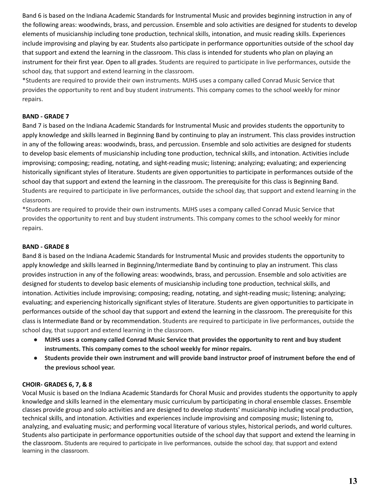Band 6 is based on the Indiana Academic Standards for Instrumental Music and provides beginning instruction in any of the following areas: woodwinds, brass, and percussion. Ensemble and solo activities are designed for students to develop elements of musicianship including tone production, technical skills, intonation, and music reading skills. Experiences include improvising and playing by ear. Students also participate in performance opportunities outside of the school day that support and extend the learning in the classroom. This class is intended for students who plan on playing an instrument for their first year. Open to all grades. Students are required to participate in live performances, outside the school day, that support and extend learning in the classroom.

\*Students are required to provide their own instruments. MJHS uses a company called Conrad Music Service that provides the opportunity to rent and buy student instruments. This company comes to the school weekly for minor repairs.

#### **BAND - GRADE 7**

Band 7 is based on the Indiana Academic Standards for Instrumental Music and provides students the opportunity to apply knowledge and skills learned in Beginning Band by continuing to play an instrument. This class provides instruction in any of the following areas: woodwinds, brass, and percussion. Ensemble and solo activities are designed for students to develop basic elements of musicianship including tone production, technical skills, and intonation. Activities include improvising; composing; reading, notating, and sight-reading music; listening; analyzing; evaluating; and experiencing historically significant styles of literature. Students are given opportunities to participate in performances outside of the school day that support and extend the learning in the classroom. The prerequisite for this class is Beginning Band. Students are required to participate in live performances, outside the school day, that support and extend learning in the classroom.

\*Students are required to provide their own instruments. MJHS uses a company called Conrad Music Service that provides the opportunity to rent and buy student instruments. This company comes to the school weekly for minor repairs.

#### **BAND - GRADE 8**

Band 8 is based on the Indiana Academic Standards for Instrumental Music and provides students the opportunity to apply knowledge and skills learned in Beginning/Intermediate Band by continuing to play an instrument. This class provides instruction in any of the following areas: woodwinds, brass, and percussion. Ensemble and solo activities are designed for students to develop basic elements of musicianship including tone production, technical skills, and intonation. Activities include improvising; composing; reading, notating, and sight-reading music; listening; analyzing; evaluating; and experiencing historically significant styles of literature. Students are given opportunities to participate in performances outside of the school day that support and extend the learning in the classroom. The prerequisite for this class is Intermediate Band or by recommendation. Students are required to participate in live performances, outside the school day, that support and extend learning in the classroom.

- MJHS uses a company called Conrad Music Service that provides the opportunity to rent and buy student **instruments. This company comes to the school weekly for minor repairs.**
- Students provide their own instrument and will provide band instructor proof of instrument before the end of **the previous school year.**

#### **CHOIR- GRADES 6, 7, & 8**

Vocal Music is based on the Indiana Academic Standards for Choral Music and provides students the opportunity to apply knowledge and skills learned in the elementary music curriculum by participating in choral ensemble classes. Ensemble classes provide group and solo activities and are designed to develop students' musicianship including vocal production, technical skills, and intonation. Activities and experiences include improvising and composing music; listening to, analyzing, and evaluating music; and performing vocal literature of various styles, historical periods, and world cultures. Students also participate in performance opportunities outside of the school day that support and extend the learning in the classroom. Students are required to participate in live performances, outside the school day, that support and extend learning in the classroom.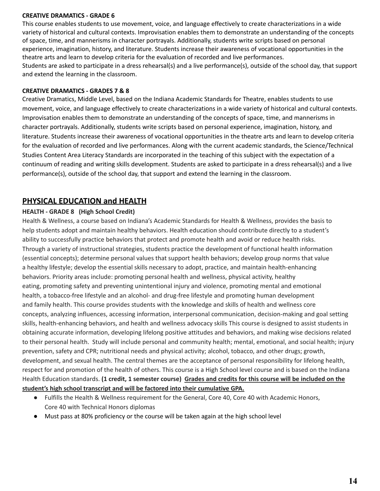#### **CREATIVE DRAMATICS - GRADE 6**

This course enables students to use movement, voice, and language effectively to create characterizations in a wide variety of historical and cultural contexts. Improvisation enables them to demonstrate an understanding of the concepts of space, time, and mannerisms in character portrayals. Additionally, students write scripts based on personal experience, imagination, history, and literature. Students increase their awareness of vocational opportunities in the theatre arts and learn to develop criteria for the evaluation of recorded and live performances. Students are asked to participate in a dress rehearsal(s) and a live performance(s), outside of the school day, that support and extend the learning in the classroom.

#### **CREATIVE DRAMATICS - GRADES 7 & 8**

Creative Dramatics, Middle Level, based on the Indiana Academic Standards for Theatre, enables students to use movement, voice, and language effectively to create characterizations in a wide variety of historical and cultural contexts. Improvisation enables them to demonstrate an understanding of the concepts of space, time, and mannerisms in character portrayals. Additionally, students write scripts based on personal experience, imagination, history, and literature. Students increase their awareness of vocational opportunities in the theatre arts and learn to develop criteria for the evaluation of recorded and live performances. Along with the current academic standards, the Science/Technical Studies Content Area Literacy Standards are incorporated in the teaching of this subject with the expectation of a continuum of reading and writing skills development. Students are asked to participate in a dress rehearsal(s) and a live performance(s), outside of the school day, that support and extend the learning in the classroom.

## **PHYSICAL EDUCATION and HEALTH**

#### **HEALTH - GRADE 8 (High School Credit)**

Health & Wellness, a course based on Indiana's Academic Standards for Health & Wellness, provides the basis to help students adopt and maintain healthy behaviors. Health education should contribute directly to a student's ability to successfully practice behaviors that protect and promote health and avoid or reduce health risks. Through a variety of instructional strategies, students practice the development of functional health information (essential concepts); determine personal values that support health behaviors; develop group norms that value a healthy lifestyle; develop the essential skills necessary to adopt, practice, and maintain health-enhancing behaviors. Priority areas include: promoting personal health and wellness, physical activity, healthy eating, promoting safety and preventing unintentional injury and violence, promoting mental and emotional health, a tobacco-free lifestyle and an alcohol- and drug-free lifestyle and promoting human development and family health. This course provides students with the knowledge and skills of health and wellness core concepts, analyzing influences, accessing information, interpersonal communication, decision-making and goal setting skills, health-enhancing behaviors, and health and wellness advocacy skills This course is designed to assist students in obtaining accurate information, developing lifelong positive attitudes and behaviors, and making wise decisions related to their personal health. Study will include personal and community health; mental, emotional, and social health; injury prevention, safety and CPR; nutritional needs and physical activity; alcohol, tobacco, and other drugs; growth, development, and sexual health. The central themes are the acceptance of personal responsibility for lifelong health, respect for and promotion of the health of others. This course is a High School level course and is based on the Indiana Health Education standards. (1 credit, 1 semester course) Grades and credits for this course will be included on the **student's high school transcript and will be factored into their cumulative GPA.**

- Fulfills the Health & Wellness requirement for the General, Core 40, Core 40 with Academic Honors, Core 40 with Technical Honors diplomas
- Must pass at 80% proficiency or the course will be taken again at the high school level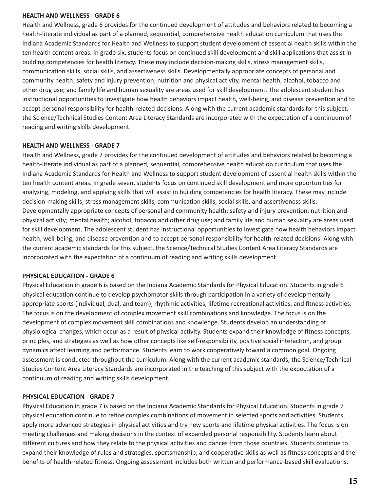#### **HEALTH AND WELLNESS - GRADE 6**

Health and Wellness, grade 6 provides for the continued development of attitudes and behaviors related to becoming a health-literate individual as part of a planned, sequential, comprehensive health education curriculum that uses the Indiana Academic Standards for Health and Wellness to support student development of essential health skills within the ten health content areas. In grade six, students focus on continued skill development and skill applications that assist in building competencies for health literacy. These may include decision-making skills, stress management skills, communication skills, social skills, and assertiveness skills. Developmentally appropriate concepts of personal and community health; safety and injury prevention; nutrition and physical activity, mental health; alcohol, tobacco and other drug use; and family life and human sexuality are areas used for skill development. The adolescent student has instructional opportunities to investigate how health behaviors impact health, well-being, and disease prevention and to accept personal responsibility for health-related decisions. Along with the current academic standards for this subject, the Science/Technical Studies Content Area Literacy Standards are incorporated with the expectation of a continuum of reading and writing skills development.

#### **HEALTH AND WELLNESS - GRADE 7**

Health and Wellness, grade 7 provides for the continued development of attitudes and behaviors related to becoming a health-literate individual as part of a planned, sequential, comprehensive health education curriculum that uses the Indiana Academic Standards for Health and Wellness to support student development of essential health skills within the ten health content areas. In grade seven, students focus on continued skill development and more opportunities for analyzing, modeling, and applying skills that will assist in building competencies for health literacy. These may include decision-making skills, stress management skills, communication skills, social skills, and assertiveness skills. Developmentally appropriate concepts of personal and community health; safety and injury prevention; nutrition and physical activity; mental health; alcohol, tobacco and other drug use; and family life and human sexuality are areas used for skill development. The adolescent student has instructional opportunities to investigate how health behaviors impact health, well-being, and disease prevention and to accept personal responsibility for health-related decisions. Along with the current academic standards for this subject, the Science/Technical Studies Content Area Literacy Standards are incorporated with the expectation of a continuum of reading and writing skills development.

#### **PHYSICAL EDUCATION - GRADE 6**

Physical Education in grade 6 is based on the Indiana Academic Standards for Physical Education. Students in grade 6 physical education continue to develop psychomotor skills through participation in a variety of developmentally appropriate sports (individual, dual, and team), rhythmic activities, lifetime recreational activities, and fitness activities. The focus is on the development of complex movement skill combinations and knowledge. The focus is on the development of complex movement skill combinations and knowledge. Students develop an understanding of physiological changes, which occur as a result of physical activity. Students expand their knowledge of fitness concepts, principles, and strategies as well as how other concepts like self-responsibility, positive social interaction, and group dynamics affect learning and performance. Students learn to work cooperatively toward a common goal. Ongoing assessment is conducted throughout the curriculum. Along with the current academic standards, the Science/Technical Studies Content Area Literacy Standards are incorporated in the teaching of this subject with the expectation of a continuum of reading and writing skills development.

#### **PHYSICAL EDUCATION - GRADE 7**

Physical Education in grade 7 is based on the Indiana Academic Standards for Physical Education. Students in grade 7 physical education continue to refine complex combinations of movement in selected sports and activities. Students apply more advanced strategies in physical activities and try new sports and lifetime physical activities. The focus is on meeting challenges and making decisions in the context of expanded personal responsibility. Students learn about different cultures and how they relate to the physical activities and dances from those countries. Students continue to expand their knowledge of rules and strategies, sportsmanship, and cooperative skills as well as fitness concepts and the benefits of health-related fitness. Ongoing assessment includes both written and performance-based skill evaluations.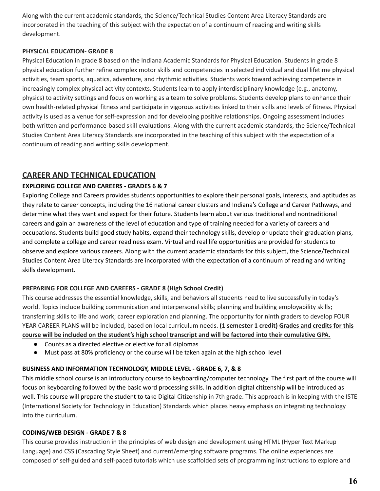Along with the current academic standards, the Science/Technical Studies Content Area Literacy Standards are incorporated in the teaching of this subject with the expectation of a continuum of reading and writing skills development.

#### **PHYSICAL EDUCATION- GRADE 8**

Physical Education in grade 8 based on the Indiana Academic Standards for Physical Education. Students in grade 8 physical education further refine complex motor skills and competencies in selected individual and dual lifetime physical activities, team sports, aquatics, adventure, and rhythmic activities. Students work toward achieving competence in increasingly complex physical activity contexts. Students learn to apply interdisciplinary knowledge (e.g., anatomy, physics) to activity settings and focus on working as a team to solve problems. Students develop plans to enhance their own health-related physical fitness and participate in vigorous activities linked to their skills and levels of fitness. Physical activity is used as a venue for self-expression and for developing positive relationships. Ongoing assessment includes both written and performance-based skill evaluations. Along with the current academic standards, the Science/Technical Studies Content Area Literacy Standards are incorporated in the teaching of this subject with the expectation of a continuum of reading and writing skills development.

## **CAREER AND TECHNICAL EDUCATION**

## **EXPLORING COLLEGE AND CAREERS - GRADES 6 & 7**

Exploring College and Careers provides students opportunities to explore their personal goals, interests, and aptitudes as they relate to career concepts, including the 16 national career clusters and Indiana's College and Career Pathways, and determine what they want and expect for their future. Students learn about various traditional and nontraditional careers and gain an awareness of the level of education and type of training needed for a variety of careers and occupations. Students build good study habits, expand their technology skills, develop or update their graduation plans, and complete a college and career readiness exam. Virtual and real life opportunities are provided for students to observe and explore various careers. Along with the current academic standards for this subject, the Science/Technical Studies Content Area Literacy Standards are incorporated with the expectation of a continuum of reading and writing skills development.

### **PREPARING FOR COLLEGE AND CAREERS - GRADE 8 (High School Credit)**

This course addresses the essential knowledge, skills, and behaviors all students need to live successfully in today's world. Topics include building communication and interpersonal skills; planning and building employability skills; transferring skills to life and work; career exploration and planning. The opportunity for ninth graders to develop FOUR YEAR CAREER PLANS will be included, based on local curriculum needs. **(1 semester 1 credit) Grades and credits for this** course will be included on the student's high school transcript and will be factored into their cumulative GPA.

- Counts as a directed elective or elective for all diplomas
- Must pass at 80% proficiency or the course will be taken again at the high school level

### **BUSINESS AND INFORMATION TECHNOLOGY, MIDDLE LEVEL - GRADE 6, 7, & 8**

This middle school course is an introductory course to keyboarding/computer technology. The first part of the course will focus on keyboarding followed by the basic word processing skills. In addition digital citizenship will be introduced as well. This course will prepare the student to take Digital Citizenship in 7th grade. This approach is in keeping with the ISTE (International Society for Technology in Education) Standards which places heavy emphasis on integrating technology into the curriculum.

#### **CODING/WEB DESIGN - GRADE 7 & 8**

This course provides instruction in the principles of web design and development using HTML (Hyper Text Markup Language) and CSS (Cascading Style Sheet) and current/emerging software programs. The online experiences are composed of self-guided and self-paced tutorials which use scaffolded sets of programming instructions to explore and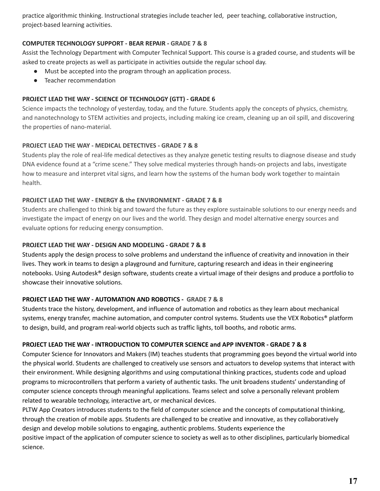practice algorithmic thinking. Instructional strategies include teacher led, peer teaching, collaborative instruction, project-based learning activities.

#### **COMPUTER TECHNOLOGY SUPPORT - BEAR REPAIR - GRADE 7 & 8**

Assist the Technology Department with Computer Technical Support. This course is a graded course, and students will be asked to create projects as well as participate in activities outside the regular school day.

- Must be accepted into the program through an application process.
- Teacher recommendation

#### **PROJECT LEAD THE WAY - SCIENCE OF TECHNOLOGY (GTT) - GRADE 6**

Science impacts the technology of yesterday, today, and the future. Students apply the concepts of physics, chemistry, and nanotechnology to STEM activities and projects, including making ice cream, cleaning up an oil spill, and discovering the properties of nano-material.

#### **PROJECT LEAD THE WAY - MEDICAL DETECTIVES - GRADE 7 & 8**

Students play the role of real-life medical detectives as they analyze genetic testing results to diagnose disease and study DNA evidence found at a "crime scene." They solve medical mysteries through hands-on projects and labs, investigate how to measure and interpret vital signs, and learn how the systems of the human body work together to maintain health.

#### **PROJECT LEAD THE WAY - ENERGY & the ENVIRONMENT - GRADE 7 & 8**

Students are challenged to think big and toward the future as they explore sustainable solutions to our energy needs and investigate the impact of energy on our lives and the world. They design and model alternative energy sources and evaluate options for reducing energy consumption.

#### **PROJECT LEAD THE WAY - DESIGN AND MODELING - GRADE 7 & 8**

Students apply the design process to solve problems and understand the influence of creativity and innovation in their lives. They work in teams to design a playground and furniture, capturing research and ideas in their engineering notebooks. Using Autodesk® design software, students create a virtual image of their designs and produce a portfolio to showcase their innovative solutions.

#### **PROJECT LEAD THE WAY - AUTOMATION AND ROBOTICS - GRADE 7 & 8**

Students trace the history, development, and influence of automation and robotics as they learn about mechanical systems, energy transfer, machine automation, and computer control systems. Students use the VEX Robotics® platform to design, build, and program real-world objects such as traffic lights, toll booths, and robotic arms.

#### **PROJECT LEAD THE WAY - INTRODUCTION TO COMPUTER SCIENCE and APP INVENTOR - GRADE 7 & 8**

Computer Science for Innovators and Makers (IM) teaches students that programming goes beyond the virtual world into the physical world. Students are challenged to creatively use sensors and actuators to develop systems that interact with their environment. While designing algorithms and using computational thinking practices, students code and upload programs to microcontrollers that perform a variety of authentic tasks. The unit broadens students' understanding of computer science concepts through meaningful applications. Teams select and solve a personally relevant problem related to wearable technology, interactive art, or mechanical devices.

PLTW App Creators introduces students to the field of computer science and the concepts of computational thinking, through the creation of mobile apps. Students are challenged to be creative and innovative, as they collaboratively design and develop mobile solutions to engaging, authentic problems. Students experience the

positive impact of the application of computer science to society as well as to other disciplines, particularly biomedical science.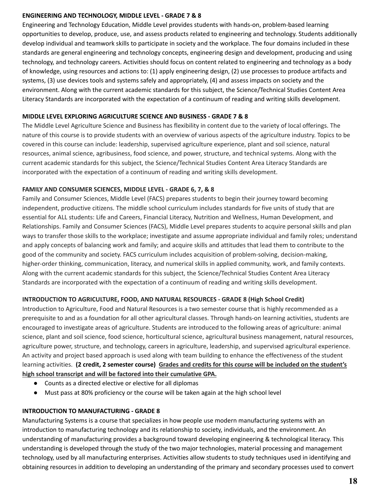#### **ENGINEERING AND TECHNOLOGY, MIDDLE LEVEL - GRADE 7 & 8**

Engineering and Technology Education, Middle Level provides students with hands-on, problem-based learning opportunities to develop, produce, use, and assess products related to engineering and technology. Students additionally develop individual and teamwork skills to participate in society and the workplace. The four domains included in these standards are general engineering and technology concepts, engineering design and development, producing and using technology, and technology careers. Activities should focus on content related to engineering and technology as a body of knowledge, using resources and actions to: (1) apply engineering design, (2) use processes to produce artifacts and systems, (3) use devices tools and systems safely and appropriately, (4) and assess impacts on society and the environment. Along with the current academic standards for this subject, the Science/Technical Studies Content Area Literacy Standards are incorporated with the expectation of a continuum of reading and writing skills development.

#### **MIDDLE LEVEL EXPLORING AGRICULTURE SCIENCE AND BUSINESS - GRADE 7 & 8**

The Middle Level Agriculture Science and Business has flexibility in content due to the variety of local offerings. The nature of this course is to provide students with an overview of various aspects of the agriculture industry. Topics to be covered in this course can include: leadership, supervised agriculture experience, plant and soil science, natural resources, animal science, agribusiness, food science, and power, structure, and technical systems. Along with the current academic standards for this subject, the Science/Technical Studies Content Area Literacy Standards are incorporated with the expectation of a continuum of reading and writing skills development.

#### **FAMILY AND CONSUMER SCIENCES, MIDDLE LEVEL - GRADE 6, 7, & 8**

Family and Consumer Sciences, Middle Level (FACS) prepares students to begin their journey toward becoming independent, productive citizens. The middle school curriculum includes standards for five units of study that are essential for ALL students: Life and Careers, Financial Literacy, Nutrition and Wellness, Human Development, and Relationships. Family and Consumer Sciences (FACS), Middle Level prepares students to acquire personal skills and plan ways to transfer those skills to the workplace; investigate and assume appropriate individual and family roles; understand and apply concepts of balancing work and family; and acquire skills and attitudes that lead them to contribute to the good of the community and society. FACS curriculum includes acquisition of problem-solving, decision-making, higher-order thinking, communication, literacy, and numerical skills in applied community, work, and family contexts. Along with the current academic standards for this subject, the Science/Technical Studies Content Area Literacy Standards are incorporated with the expectation of a continuum of reading and writing skills development.

#### **INTRODUCTION TO AGRICULTURE, FOOD, AND NATURAL RESOURCES - GRADE 8 (High School Credit)**

Introduction to Agriculture, Food and Natural Resources is a two semester course that is highly recommended as a prerequisite to and as a foundation for all other agricultural classes. Through hands-on learning activities, students are encouraged to investigate areas of agriculture. Students are introduced to the following areas of agriculture: animal science, plant and soil science, food science, horticultural science, agricultural business management, natural resources, agriculture power, structure, and technology, careers in agriculture, leadership, and supervised agricultural experience. An activity and project based approach is used along with team building to enhance the effectiveness of the student learning activities. (2 credit, 2 semester course) Grades and credits for this course will be included on the student's **high school transcript and will be factored into their cumulative GPA.**

- Counts as a directed elective or elective for all diplomas
- Must pass at 80% proficiency or the course will be taken again at the high school level

#### **INTRODUCTION TO MANUFACTURING - GRADE 8**

Manufacturing Systems is a course that specializes in how people use modern manufacturing systems with an introduction to manufacturing technology and its relationship to society, individuals, and the environment. An understanding of manufacturing provides a background toward developing engineering & technological literacy. This understanding is developed through the study of the two major technologies, material processing and management technology, used by all manufacturing enterprises. Activities allow students to study techniques used in identifying and obtaining resources in addition to developing an understanding of the primary and secondary processes used to convert